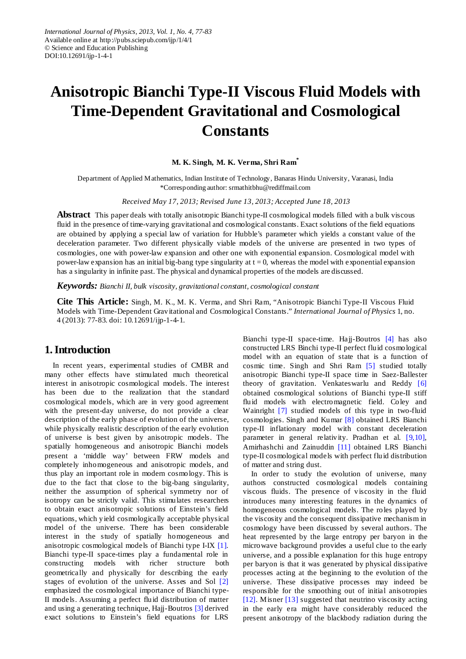# **Anisotropic Bianchi Type-II Viscous Fluid Models with Time-Dependent Gravitational and Cosmological Constants**

#### **M. K. Singh, M. K. Verma, Shri Ram\***

Department of Applied Mathematics, Indian Institute of Technology, Banaras Hindu University, Varanasi, India \*Corresponding author: srmathitbhu@rediffmail.com

*Received May 17, 2013; Revised June 13, 2013; Accepted June 18, 2013*

**Abstract** This paper deals with totally anisotropic Bianchi type-II cosmological models filled with a bulk viscous fluid in the presence of time-varying gravitational and cosmological constants. Exact solutions of the field equations are obtained by applying a special law of variation for Hubble's parameter which yields a constant value of the deceleration parameter. Two different physically viable models of the universe are presented in two types of cosmologies, one with power-law expansion and other one with exponential expansion. Cosmological model with power-law expansion has an initial big-bang type singularity at  $t = 0$ , whereas the model with exponential expansion has a singularity in infinite past. The physical and dynamical properties of the models are discussed.

*Keywords: Bianchi II, bulk viscosity, gravitational constant, cosmological constant*

**Cite This Article:** Singh, M. K., M. K. Verma, and Shri Ram, "Anisotropic Bianchi Type-II Viscous Fluid Models with Time-Dependent Gravitational and Cosmological Constants." *International Journal of Physics* 1, no. 4 (2013): 77-83. doi: 10.12691/ijp-1-4-1.

# **1. Introduction**

In recent years, experimental studies of CMBR and many other effects have stimulated much theoretical interest in anisotropic cosmological models. The interest has been due to the realization that the standard cosmological models, which are in very good agreement with the present-day universe, do not provide a clear description of the early phase of evolution of the universe, while physically realistic description of the early evolution of universe is best given by anisotropic models. The spatially homogeneous and anisotropic Bianchi models present a 'middle way' between FRW models and completely inhomogeneous and anisotropic models, and thus play an important role in modern cosmology. This is due to the fact that close to the big-bang singularity, neither the assumption of spherical symmetry nor of isotropy can be strictly valid. This stimulates researchers to obtain exact anisotropic solutions of Einstein's field equations, which yield cosmologically acceptable physical model of the universe. There has been considerable interest in the study of spatially homogeneous and anisotropic cosmological models of Bianchi type I-IX [\[1\].](#page-5-0) Bianchi type-II space-times play a fundamental role in constructing models with richer structure both geometrically and physically for describing the early stages of evolution of the universe. Asses and Sol [\[2\]](#page-5-1) emphasized the cosmological importance of Bianchi type-II models. Assuming a perfect fluid distribution of matter and using a generating technique, Hajj-Boutro[s \[3\]](#page-5-2) derived exact solutions to Einstein's field equations for LRS

Bianchi type-II space-time. Hajj-Boutros [\[4\]](#page-5-3) has also constructed LRS Binchi type-II perfect fluid cosmological model with an equation of state that is a function of cosmic time. Singh and Shri Ram [\[5\]](#page-5-4) studied totally anisotropic Bianchi type-II space time in Saez-Ballester theory of gravitation. Venkateswarlu and Reddy [\[6\]](#page-5-5) obtained cosmological solutions of Bianchi type-II stiff fluid models with electromagnetic field. Coley and Wainright [\[7\]](#page-5-6) studied models of this type in two-fluid cosmologies. Singh and Kumar [\[8\]](#page-5-7) obtained LRS Bianchi type-II inflationary model with constant deceleration parameter in general relativity. Pradhan et al. [\[9,10\],](#page-5-8) Amirhashchi and Zainuddin [\[11\]](#page-5-9) obtained LRS Bianchi type-II cosmological models with perfect fluid distribution of matter and string dust.

In order to study the evolution of universe, many authors constructed cosmological models containing viscous fluids. The presence of viscosity in the fluid introduces many interesting features in the dynamics of homogeneous cosmological models. The roles played by the viscosity and the consequent dissipative mechanism in cosmology have been discussed by several authors. The heat represented by the large entropy per baryon in the microwave background provides a useful clue to the early universe, and a possible explanation for this huge entropy per baryon is that it was generated by physical dissipative processes acting at the beginning to the evolution of the universe. These dissipative processes may indeed be responsible for the smoothing out of initial anisotropies [\[12\].](#page-5-10) Misner [\[13\]](#page-5-11) suggested that neutrino viscosity acting in the early era might have considerably reduced the present anisotropy of the blackbody radiation during the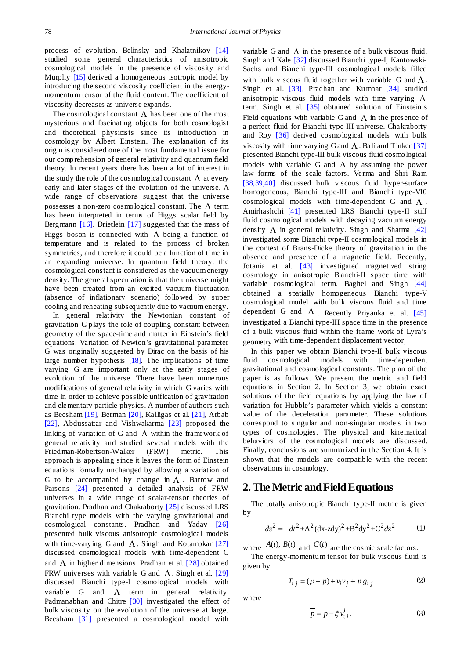process of evolution. Belinsky and Khalatnikov [\[14\]](#page-5-12) studied some general characteristics of anisotropic cosmological models in the presence of viscosity and Murphy [\[15\]](#page-5-13) derived a homogeneous isotropic model by introducing the second viscosity coefficient in the energymomentum tensor of the fluid content. The coefficient of viscosity decreases as universe expands.

The cosmological constant  $\Lambda$  has been one of the most mysterious and fascinating objects for both cosmologist and theoretical physicists since its introduction in cosmology by Albert Einstein. The explanation of its origin is considered one of the most fundamental issue for our comprehension of general relativity and quantum field theory. In recent years there has been a lot of interest in the study the role of the cosmological constant  $\Lambda$  at every early and later stages of the evolution of the universe. A wide range of observations suggest that the universe possesses a non-zero cosmological constant. The  $\Lambda$  term has been interpreted in terms of Higgs scalar field by Bergmann [\[16\].](#page-5-14) Drietlein [\[17\]](#page-5-15) suggested that the mass of Higgs boson is connected with  $\Lambda$  being a function of temperature and is related to the process of broken symmetries, and therefore it could be a function of time in an expanding universe. In quantum field theory, the cosmological constant is considered as the vacuum energy density. The general speculation is that the universe might have been created from an excited vacuum fluctuation (absence of inflationary scenario) followed by super cooling and reheating subsequently due to vacuum energy.

In general relativity the Newtonian constant of gravitation G plays the role of coupling constant between geometry of the space-time and matter in Einstein's field equations. Variation of Newton's gravitational parameter G was originally suggested by Dirac on the basis of his large number hypothesis [\[18\].](#page-5-16) The implications of time varying G are important only at the early stages of evolution of the universe. There have been numerous modifications of general relativity in which G varies with time in order to achieve possible unification of gravitation and elementary particle physics. A number of authors such as Beesha[m \[19\],](#page-5-17) Berman [\[20\],](#page-5-18) Kalligas et al. [\[21\],](#page-5-19) Arbab [\[22\],](#page-5-20) Abdussattar and Vishwakarma [\[23\]](#page-5-21) proposed the linking of variation of G and  $\Lambda$  within the framework of general relativity and studied several models with the Friedman-Robertson-Walker (FRW) metric. This approach is appealing since it leaves the form of Einstein equations formally unchanged by allowing a variation of G to be accompanied by change in  $\Lambda$ . Barrow and Parsons [\[24\]](#page-5-22) presented a detailed analysis of FRW universes in a wide range of scalar-tensor theories of gravitation. Pradhan and Chakraborty [\[25\]](#page-5-23) discussed LRS Bianchi type models with the varying gravitational and cosmological constants. Pradhan and Yadav [\[26\]](#page-5-24) presented bulk viscous anisotropic cosmological models with time-varying G and  $\Lambda$ . Singh and Kotambkar [\[27\]](#page-5-25) discussed cosmological models with time-dependent G and  $\Lambda$  in higher dimensions. Pradhan et al. [\[28\]](#page-5-26) obtained FRW universes with variable G and  $\Lambda$ . Singh et al. [\[29\]](#page-5-27) discussed Bianchi type-I cosmological models with variable G and  $\Lambda$  term in general relativity. Padmanabhan and Chitre [\[30\]](#page-5-28) investigated the effect of bulk viscosity on the evolution of the universe at large. Beesham [\[31\]](#page-5-29) presented a cosmological model with

variable G and  $\Lambda$  in the presence of a bulk viscous fluid. Singh and Kale [\[32\]](#page-5-30) discussed Bianchi type-I, Kantowski-Sachs and Bianchi type-III cosmological models filled with bulk viscous fluid together with variable G and  $\Lambda$ . Singh et al. [\[33\],](#page-5-31) Pradhan and Kumhar [\[34\]](#page-5-32) studied anisotropic viscous fluid models with time varying  $\Lambda$ term. Singh et al. [\[35\]](#page-5-33) obtained solution of Einstein's Field equations with variable G and  $\Lambda$  in the presence of a perfect fluid for Bianchi type-III universe. Chakraborty and Roy [\[36\]](#page-5-34) derived cosmological models with bulk viscosity with time varying G and  $\Lambda$ . Bali and Tinker [\[37\]](#page-5-35) presented Bianchi type-III bulk viscous fluid cosmological models with variable G and  $\Lambda$  by assuming the power law forms of the scale factors. Verma and Shri Ram [\[38,39,40\]](#page-5-36) discussed bulk viscous fluid hyper-surface homogeneous, Bianchi type-III and Bianchi type-VI0 cosmological models with time-dependent G and  $\Lambda$ . Amirhashchi [\[41\]](#page-6-0) presented LRS Bianchi type-II stiff fluid cosmological models with decaying vacuum energy density  $\Lambda$  in general relativity. Singh and Sharma [\[42\]](#page-6-1) investigated some Bianchi type-II cosmological models in the context of Brans-Dicke theory of gravitation in the absence and presence of a magnetic field. Recently, Jotania et al. [\[43\]](#page-6-2) investigated magnetized string cosmology in anisotropic Bianchi-II space time with variable cosmological term. Baghel and Singh [\[44\]](#page-6-3) obtained a spatially homogeneous Bianchi type-V cosmological model with bulk viscous fluid and time dependent G and  $\Lambda$ . Recently Priyanka et al. [\[45\]](#page-6-4) investigated a Bianchi type-III space time in the presence of a bulk viscous fluid within the frame work of Lyra's geometry with time-dependent displacement vector.

In this paper we obtain Bianchi type-II bulk viscous fluid cosmological models with time-dependent gravitational and cosmological constants. The plan of the paper is as follows. We present the metric and field equations in Section 2. In Section 3, we obtain exact solutions of the field equations by applying the law of variation for Hubble's parameter which yields a constant value of the deceleration parameter. These solutions correspond to singular and non-singular models in two types of cosmologies. The physical and kinematical behaviors of the cosmological models are discussed. Finally, conclusions are summarized in the Section 4. It is shown that the models are compatible with the recent observations in cosmology.

#### **2. The Metric and Field Equations**

The totally anisotropic Bianchi type-II metric is given by

$$
ds^{2} = -dt^{2} + A^{2} (dx - zdy)^{2} + B^{2} dy^{2} + C^{2} dz^{2}
$$
 (1)

where  $A(t)$ ,  $B(t)$  and  $C(t)$  are the cosmic scale factors.

The energy-momentum tensor for bulk viscous fluid is given by

$$
T_{i j} = (\rho + p) + v_i v_j + p g_{i j}
$$
 (2)

where

$$
\overline{p} = p - \xi v_{;i}^i. \tag{3}
$$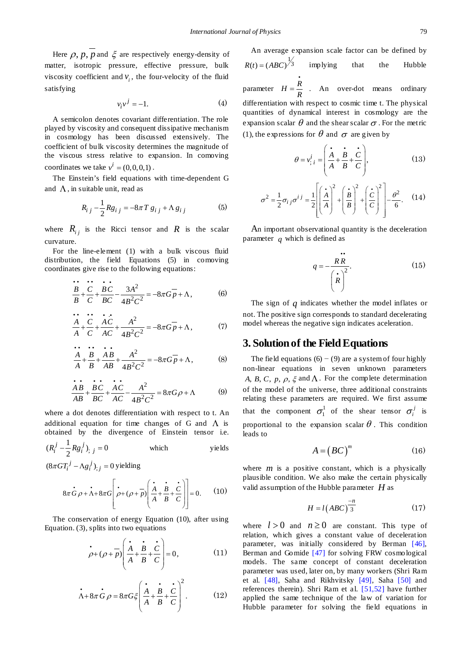Here  $\rho$ ,  $p$ ,  $p$  and  $\xi$  are respectively energy-density of matter, isotropic pressure, effective pressure, bulk viscosity coefficient and  $v_i$ , the four-velocity of the fluid satisfying

$$
v_i v^j = -1.
$$
 (4)

A semicolon denotes covariant differentiation. The role played by viscosity and consequent dissipative mechanism in cosmology has been discussed extensively. The coefficient of bulk viscosity determines the magnitude of the viscous stress relative to expansion. In comoving coordinates we take  $v^i = (0,0,0,1)$ .

The Einstein's field equations with time-dependent G and  $\Lambda$ , in suitable unit, read as

$$
R_{i j} - \frac{1}{2} R g_{i j} = -8\pi T g_{i j} + \Lambda g_{i j}
$$
 (5)

where  $R_{ij}$  is the Ricci tensor and  $R$  is the scalar curvature.

For the line-element (1) with a bulk viscous fluid distribution, the field Equations (5) in comoving coordinates give rise to the following equations:

$$
\frac{B}{B} + \frac{C}{C} + \frac{BC}{BC} - \frac{3A^2}{4B^2C^2} = -8\pi G \overline{p} + \Lambda,
$$
 (6)

$$
\frac{A}{A} + \frac{C}{C} + \frac{AC}{AC} + \frac{A^2}{4B^2C^2} = -8\pi G \overline{p} + \Lambda,
$$
 (7)

$$
\frac{A}{A} + \frac{B}{B} + \frac{AB}{AB} + \frac{A^2}{4B^2C^2} = -8\pi G \overline{p} + \Lambda,
$$
 (8)

$$
\frac{\dot{A}B}{AB} + \frac{\dot{B}C}{BC} + \frac{\dot{A}C}{AC} - \frac{A^2}{4B^2C^2} = 8\pi G\rho + \Lambda
$$
 (9)

where a dot denotes differentiation with respect to t. An additional equation for time changes of G and  $\Lambda$  is obtained by the divergence of Einstein tensor i.e.

$$
(R_i^j - \frac{1}{2} R g_i^j)_{;j} = 0
$$
 which yields

 $(8\pi GT_i^j - \Lambda g_i^j)_{;j} = 0$  yielding

$$
8\pi \dot{G}\rho + \dot{\Lambda} + 8\pi G \left[\dot{\rho} + (\rho + \bar{p}) \left(\frac{\dot{A}}{A} + \frac{\dot{B}}{B} + \frac{\dot{C}}{C}\right)\right] = 0.
$$
 (10)

The conservation of energy Equation (10), after using Equation. (3), splits into two equations

$$
\vec{\rho} + (\rho + \vec{p}) \left( \frac{\vec{A}}{A} + \frac{\vec{B}}{B} + \frac{\vec{C}}{C} \right) = 0, \tag{11}
$$

$$
\dot{\Lambda} + 8\pi G \rho = 8\pi G \xi \left( \frac{\dot{\Lambda}}{A} + \frac{\dot{B}}{B} + \frac{\dot{C}}{C} \right)^2.
$$
 (12)

An average expansion scale factor can be defined by  $R(t) = (ABC)^{\frac{1}{3}}$  implying that the Hubble .

parameter  $H = \frac{R}{R}$ . An over-dot means ordinary differentiation with respect to cosmic time t. The physical quantities of dynamical interest in cosmology are the expansion scalar  $\theta$  and the shear scalar  $\sigma$ . For the metric (1), the expressions for  $\theta$  and  $\sigma$  are given by

$$
\theta = v_{;i}^{i} = \left(\frac{\dot{A}}{A} + \frac{\dot{B}}{B} + \frac{\dot{C}}{C}\right),
$$
\n(13)

$$
\sigma^2 = \frac{1}{2}\sigma_{ij}\sigma^{ij} = \frac{1}{2}\left[\left(\frac{\dot{A}}{A}\right)^2 + \left(\frac{\dot{B}}{B}\right)^2 + \left(\frac{\dot{C}}{C}\right)^2\right] - \frac{\theta^2}{6}.
$$
 (14)

An important observational quantity is the deceleration parameter *q* which is defined as

$$
q = -\frac{\mathbf{R} \mathbf{R}}{\left(\dot{\mathbf{R}}\right)^2}.
$$
 (15)

The sign of *q* indicates whether the model inflates or not. The positive sign corresponds to standard decelerating model whereas the negative sign indicates aceleration.

### **3. Solution of the Field Equations**

The field equations  $(6)$  – (9) are a system of four highly non-linear equations in seven unknown parameters *A, B, C, p,*  $\rho$ *,*  $\xi$  and  $\Lambda$ . For the complete determination of the model of the universe, three additional constraints relating these parameters are required. We first assume that the component  $\sigma_1^1$  of the shear tensor  $\sigma_i^j$  is proportional to the expansion scalar  $\theta$ . This condition leads to

$$
A = \left( BC \right)^{m} \tag{16}
$$

where  $m$  is a positive constant, which is a physically plausible condition. We also make the certain physically valid assumption of the Hubble parameter *H* as

$$
H = l\left( ABC \right)^{-n} \tag{17}
$$

where  $l > 0$  and  $n \ge 0$  are constant. This type of relation, which gives a constant value of deceleration parameter, was initially considered by Berman [\[46\],](#page-6-5) Berman and Gomide [\[47\]](#page-6-6) for solving FRW cosmological models. The same concept of constant deceleration parameter was used, later on, by many workers (Shri Ram et al. [\[48\],](#page-6-7) Saha and Rikhvitsky [\[49\],](#page-6-8) Saha [\[50\]](#page-6-9) and references therein). Shri Ram et al. [\[51,52\]](#page-6-10) have further applied the same technique of the law of variation for Hubble parameter for solving the field equations in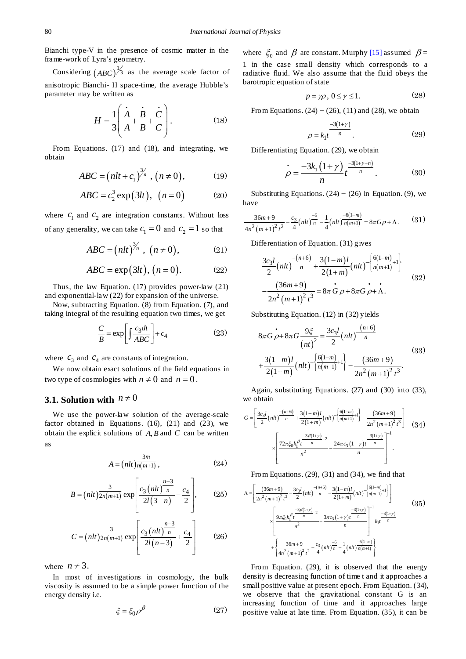Bianchi type-V in the presence of cosmic matter in the frame-work of Lyra's geometry.

Considering  $(ABC)^{\frac{1}{3}}$  as the average scale factor of anisotropic Bianchi- II space-time, the average Hubble's parameter may be written as

$$
H = \frac{1}{3} \left( \frac{\dot{A}}{A} + \frac{\dot{B}}{B} + \frac{\dot{C}}{C} \right). \tag{18}
$$

From Equations. (17) and (18), and integrating, we obtain

$$
ABC = \left(nlt + c_1\right)^{3/n}, \left(n \neq 0\right), \tag{19}
$$

$$
ABC = c_2^3 \exp(3lt), \quad (n=0)
$$
 (20)

where  $c_1$  and  $c_2$  are integration constants. Without loss of any generality, we can take  $c_1 = 0$  and  $c_2 = 1$  so that

$$
ABC = \left(nlt\right)^{3/n}, \ (n \neq 0), \tag{21}
$$

$$
ABC = \exp(3lt), (n = 0). \tag{22}
$$

Thus, the law Equation. (17) provides power-law (21) and exponential-law (22) for expansion of the universe.

Now, subtracting Equation. (8) from Equation. (7), and taking integral of the resulting equation two times, we get

$$
\frac{C}{B} = \exp\left[\int \frac{c_3 dt}{ABC}\right] + c_4\tag{23}
$$

where  $c_3$  and  $c_4$  are constants of integration.

We now obtain exact solutions of the field equations in two type of cosmologies with  $n \neq 0$  and  $n = 0$ .

# **3.1. Solution with**  $n \neq 0$

We use the power-law solution of the average-scale factor obtained in Equations.  $(16)$ ,  $(21)$  and  $(23)$ , we obtain the explicit solutions of *A B*, and *C* can be written as

$$
A = \left(nlt\right)\frac{3m}{n(m+1)},\tag{24}
$$

$$
B = (nlt)\frac{3}{2n(m+1)}\exp\left[\frac{c_3(nlt)^{\frac{n-3}{n}}}{2l(3-n)} - \frac{c_4}{2}\right],
$$
 (25)

$$
C = (nlt)\frac{3}{2n(m+1)}\exp\left[\frac{c_3\left(nlt\right)\frac{n-3}{n}}{2l(n-3)} + \frac{c_4}{2}\right]
$$
(26)

where  $n \neq 3$ .

In most of investigations in cosmology, the bulk viscosity is assumed to be a simple power function of the energy density i.e.

$$
\xi = \xi_0 \rho^{\beta} \tag{27}
$$

where  $\zeta_0$  and  $\beta$  are constant. Murphy [\[15\]](#page-5-13) assumed  $\beta =$ 1 in the case small density which corresponds to a radiative fluid. We also assume that the fluid obeys the barotropic equation of state

$$
p = \gamma \rho, \ 0 \le \gamma \le 1. \tag{28}
$$

From Equations.  $(24) - (26)$ ,  $(11)$  and  $(28)$ , we obtain

$$
\rho = k_1 t^{\frac{-3(1+\gamma)}{n}}.\tag{29}
$$

Differentiating Equation. (29), we obtain

$$
\rho = \frac{-3k_1(1+\gamma)}{n}t^{\frac{-3(1+\gamma+n)}{n}}.\t(30)
$$

Substituting Equations.  $(24) - (26)$  in Equation. (9), we have

$$
\frac{36m+9}{4n^2(m+1)^2t^2} - \frac{c_3}{4}(nlt)^{-6/2}\frac{1}{n} - \frac{1}{4}(nlt)^{-6(1-m)}\frac{-(6(1-m))}{n(m+1)} = 8\pi G\rho + \Lambda. \tag{31}
$$

Differentiation of Equation. (31) gives

$$
\frac{3c_3l}{2}\left(nlt\right)^{\frac{-(n+6)}{n}} + \frac{3(1-m)l}{2(1+m)}\left(nlt\right)^{\frac{6(1-m)}{n(m+1)}+1}
$$
\n
$$
-\frac{(36m+9)}{2n^2\left(m+1\right)^2t^3} = 8\pi G \rho + 8\pi G \rho + \Lambda.
$$
\n(32)

Substituting Equation. (12) in (32) yields

$$
8\pi G \rho + 8\pi G \frac{9\xi}{(nt)^2} = \frac{3c_3l}{2} (nlt)^{\frac{-(n+6)}{n}}
$$
  
+ 
$$
\frac{3(1-m)l}{2(1+m)} (nlt)^{\frac{6(1-m)}{n(m+1)}+1} - \frac{(36m+9)}{2n^2(m+1)^2 t^3}.
$$
 (33)

Again, substituting Equations. (27) and (30) into (33), we obtain

$$
G = \left[ \frac{3c_3l}{2} (ntt)^{\frac{-(n+6)}{n}} + \frac{3(1-m)l}{2(1+m)} (ntt)^{-\left[\frac{6(1-m)}{n(m+1)}t\right]} - \frac{(36m+9)}{2n^2 (m+1)^2 t^3} \right] \tag{34}
$$

$$
\times \left[ \frac{72\pi \xi_0 k_1^{\beta} t^{\frac{-3\beta(1+\gamma)}{n}}}{n^2} - \frac{24\pi c_3 (1+\gamma)t^{\frac{-3(1+\gamma)}{n}}}{n} \right]^{-1}.
$$

From Equations. (29), (31) and (34), we find that

$$
\Lambda = \left[ \frac{(36m+9)}{2n^2 (m+1)^2 t^3} - \frac{3c_3 l}{2} (n l t) \frac{-(n+6)}{n} - \frac{3(1-m)l}{2(1+m)} (n l t) \left[ \frac{6(1-m)}{n (m+1)} t \right] \right]
$$
  

$$
\times \left[ \frac{9\pi \xi_0 k_1^{\beta} t^{\frac{-3\beta(1+\gamma)}{n}}}{n^2} - \frac{3\pi c_3 (1+\gamma) t^{\frac{-3(1+\gamma)}{n}}}{n} \right]^{-1} k_1 t^{\frac{-3(1+\gamma)}{n}}
$$
  

$$
+ \left\{ \frac{36m+9}{4n^2 (m+1)^2 t^2} - \frac{c_3}{4} (n l t)^{\frac{-6}{n}} - \frac{1}{4} (n l t)^{\frac{-6(1-m)}{n (m+1)}} \right\}.
$$
  
(35)

From Equation. (29), it is observed that the energy density is decreasing function of time t and it approaches a small positive value at present epoch. From Equation. (34), we observe that the gravitational constant G is an increasing function of time and it approaches large positive value at late time. From Equation. (35), it can be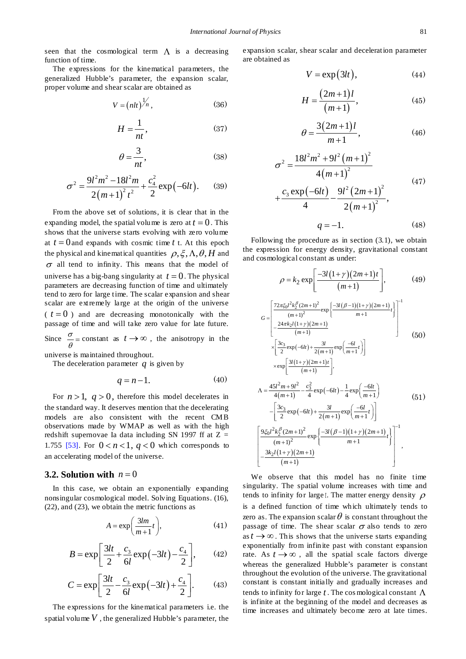seen that the cosmological term  $\Lambda$  is a decreasing function of time.

The expressions for the kinematical parameters, the generalized Hubble's parameter, the expansion scalar, proper volume and shear scalar are obtained as

$$
V = \left(nlt\right)^{1/n},\tag{36}
$$

$$
H = \frac{1}{nt},\tag{37}
$$

$$
\theta = \frac{3}{nt},\tag{38}
$$

$$
\sigma^2 = \frac{9l^2m^2 - 18l^2m}{2(m+1)^2t^2} + \frac{c_4^2}{2}\exp(-6lt). \qquad (39)
$$

From the above set of solutions, it is clear that in the expanding model, the spatial volume is zero at  $t = 0$ . This shows that the universe starts evolving with zero volume at  $t = 0$  and expands with cosmic time  $t$  t. At this epoch the physical and kinematical quantities  $\rho$ ,  $\xi$ ,  $\Lambda$ ,  $\theta$ ,  $H$  and  $\sigma$  all tend to infinity. This means that the model of universe has a big-bang singularity at  $t = 0$ . The physical parameters are decreasing function of time and ultimately tend to zero for large time. The scalar expansion and shear scalar are extremely large at the origin of the universe  $(t = 0)$  and are decreasing monotonically with the passage of time and will take zero value for late future. Since  $\frac{\sigma}{\theta}$  = constant as  $t \to \infty$ , the anisotropy in the universe is maintained throughout.

The deceleration parameter *q* is given by

$$
q = n - 1.\tag{40}
$$

For  $n > 1$ ,  $q > 0$ , therefore this model decelerates in the standard way. It deserves mention that the decelerating models are also consistent with the recent CMB observations made by WMAP as well as with the high redshift supernovae Ia data including SN 1997 ff at  $Z =$ 1.755 [\[53\].](#page-6-11) For  $0 < n < 1$ ,  $q < 0$  which corresponds to an accelerating model of the universe.

#### **3.2. Solution with**  $n = 0$

In this case, we obtain an exponentially expanding nonsingular cosmological model. Solving Equations. (16), (22), and (23), we obtain the metric functions as

$$
A = \exp\left(\frac{3lm}{m+1}t\right),\tag{41}
$$

$$
B = \exp\left[\frac{3lt}{2} + \frac{c_3}{6l}\exp(-3lt) - \frac{c_4}{2}\right],\qquad(42)
$$

$$
C = \exp\left[\frac{3lt}{2} - \frac{c_3}{6l} \exp(-3lt) + \frac{c_4}{2}\right].
$$
 (43)

The expressions for the kinematical parameters i.e. the spatial volume  $V$ , the generalized Hubble's parameter, the expansion scalar, shear scalar and deceleration parameter are obtained as

$$
V = \exp(3lt), \tag{44}
$$

$$
H = \frac{(2m+1)l}{(m+1)},
$$
\n(45)

$$
\theta = \frac{3(2m+1)l}{m+1},
$$
\n(46)

$$
\sigma^{2} = \frac{18l^{2}m^{2} + 9l^{2}(m+1)^{2}}{4(m+1)^{2}}
$$
  
+ 
$$
\frac{c_{3} \exp(-6lt)}{4} - \frac{9l^{2}(2m+1)^{2}}{2(m+1)^{2}},
$$
  
 
$$
q = -1.
$$
 (48)

Following the procedure as in section (3.1), we obtain the expression for energy density, gravitational constant and cosmological constant as under:

$$
\rho = k_2 \exp\left[\frac{-3l(1+\gamma)(2m+1)t}{(m+1)}\right],
$$
(49)  

$$
G = \left[\frac{72\pi \xi_0 l^2 k_2^{\beta} (2m+1)^2}{(m+1)^2} \exp\left\{\frac{-3l(\beta-1)(1+\gamma)(2m+1)}{m+1}t\right\}\right]^{-1}
$$

$$
\times \left[\frac{3c_3}{2} \exp(-6lt) + \frac{3l}{2(m+1)} \exp\left(\frac{-6l}{m+1}t\right)\right]
$$
(50)  

$$
\times \exp\left[\frac{3l(1+\gamma)(2m+1)t}{(m+1)}\right],
$$

$$
\Lambda = \frac{45l^2m+9l^2}{4(m+1)} - \frac{c_3^2}{4} \exp(-6lt) - \frac{1}{4} \exp\left(\frac{-6lt}{m+1}\right)
$$

$$
-\left[\frac{3c_3}{2} \exp(-6lt) + \frac{3l}{2(m+1)} \exp\left(\frac{-6l}{m+1}t\right)\right]
$$

$$
\left[\frac{9\xi_0 l^2 k_2^{\beta} (2m+1)^2}{(m+1)^2} \exp\left\{\frac{-3l(\beta-1)(1+\gamma)(2m+1)}{m+1}t\right\}\right]^{-1}
$$

$$
\left[\frac{3k_2 l(1+\gamma)(2m+1)}{(m+1)^2}\right]
$$

We observe that this model has no finite time singularity. The spatial volume increases with time and tends to infinity for large *t*. The matter energy density  $\rho$ is a defined function of time which ultimately tends to zero as. The expansion scalar  $\theta$  is constant throughout the passage of time. The shear scalar  $\sigma$  also tends to zero as  $t \rightarrow \infty$ . This shows that the universe starts expanding exponentially from infinite past with constant expansion rate. As  $t \rightarrow \infty$ , all the spatial scale factors diverge whereas the generalized Hubble's parameter is constant throughout the evolution of the universe. The gravitational constant is constant initially and gradually increases and tends to infinity for large *t* . The cos mological constant Λ is infinite at the beginning of the model and decreases as time increases and ultimately become zero at late times.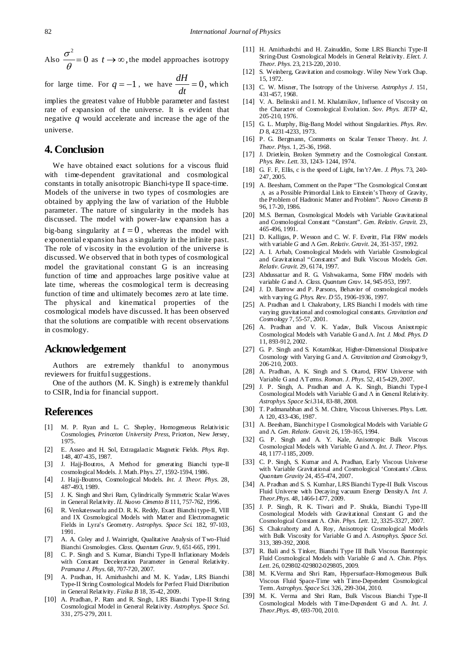Also  $\frac{\sigma^2}{\theta} = 0$  as  $t \to \infty$ , the model approaches isotropy

for large time. For  $q = -1$ , we have  $\frac{dH}{dt} = 0$ , which

implies the greatest value of Hubble parameter and fastest rate of expansion of the universe. It is evident that negative *q* would accelerate and increase the age of the universe.

# **4. Conclusion**

We have obtained exact solutions for a viscous fluid with time-dependent gravitational and cosmological constants in totally anisotropic Bianchi-type II space-time. Models of the universe in two types of cosmologies are obtained by applying the law of variation of the Hubble parameter. The nature of singularity in the models has discussed. The model with power-law expansion has a big-bang singularity at  $t = 0$ , whereas the model with exponential expansion has a singularity in the infinite past. The role of viscosity in the evolution of the universe is discussed. We observed that in both types of cosmological model the gravitational constant G is an increasing function of time and approaches large positive value at late time, whereas the cosmological term is decreasing function of time and ultimately becomes zero at late time. The physical and kinematical properties of the cosmological models have discussed. It has been observed that the solutions are compatible with recent observations in cosmology.

# **Acknowledgement**

Authors are extremely thankful to anonymous reviewers for fruitful suggestions.

One of the authors (M. K. Singh) is extremely thankful to CSIR, India for financial support.

#### **References**

- <span id="page-5-0"></span>[1] M. P. Ryan and L. C. Shepley, Homogeneous Relativistic Cosmologies, *Princeton University Press*, Priceton, New Jersey, 1975.
- <span id="page-5-1"></span>[2] E. Asseo and H. Sol, Extragalactic Magnetic Fields. *Phys. Rep.* 148, 407-435, 1987.
- <span id="page-5-2"></span>[3] J. Hajj-Boutros, A Method for generating Bianchi type-II cosmological Models. J. Math.Phys. 27, 1592-1594, 1986.
- <span id="page-5-3"></span>[4] J. Hajj-Boutros, Cosmological Models. *Int. J. Theor. Phys*. 28, 487-493, 1989.
- <span id="page-5-4"></span>[5] J. K. Singh and Shri Ram, Cylindrically Symmetric Scalar Waves in General Relativity. *IL Nuovo Cimento B* 111, 757-762, 1996.
- <span id="page-5-5"></span>[6] R. Venkateswarlu and D. R. K. Reddy, Exact Bianchi type-II, VIII and IX Cosmological Models with Matter and Electromagnetic Fields in Lyra's Geometry. *Astrophys. Space Sci.* 182, 97-103, 1991.
- <span id="page-5-6"></span>[7] A. A. Coley and J. Wainright, Qualitative Analysis of Two-Fluid Bianchi Cosmologies. *Class. Quantum Grav.* 9, 651-665, 1991.
- <span id="page-5-7"></span>[8] C. P. Singh and S. Kumar, Bianchi Type-II Inflationary Models with Constant Deceleration Parameter in General Relativity. *Pramana J. Phys*. 68, 707-720, 2007.
- <span id="page-5-8"></span>[9] A. Pradhan, H. Amirhashchi and M. K. Yadav, LRS Bianchi Type-II String Cosmological Models for Perfect Fluid Distribution in General Relativity. *Fizika B* 18, 35-42, 2009.
- [10] A. Pradhan, P. Ram and R. Singh, LRS Bianchi Type-II String Cosmological Model in General Relativity. *Astrophys. Space Sci.* 331, 275-279, 2011.
- <span id="page-5-9"></span>[11] H. Amirhashchi and H. Zainuddin, Some LRS Bianchi Type-II String-Dust Cosmological Models in General Relativity. *Elect. J. Theor. Phys*. 23, 213-220, 2010.
- <span id="page-5-10"></span>[12] S. Weinberg, Gravitation and cosmology. Wiley New York Chap. 15, 1972.
- <span id="page-5-11"></span>[13] C. W. Misner, The Isotropy of the Universe. *Astrophys J*. 151, 431-457, 1968.
- <span id="page-5-12"></span>[14] V. A. Belinskii and I. M. Khalatnikov, Influence of Viscosity on the Character of Cosmological Evolution. *Sov. Phys. JETP* 42, 205-210, 1976.
- <span id="page-5-13"></span>[15] G. L. Murphy, Big-Bang Model without Singularities. *Phys. Rev. D* 8, 4231-4233, 1973.
- <span id="page-5-14"></span>[16] P. G. Bergmann, Comments on Scalar Tensor Theory. *Int. J. Theor. Phys*. 1, 25-36, 1968.
- <span id="page-5-15"></span>[17] J. Drietlein, Broken Symmetry and the Cosmological Constant. *Phys. Rev. Lett.* 33, 1243- 1244, 1974.
- <span id="page-5-16"></span>[18] G. F. F, Ellis, c is the speed of Light, Isn't? *Am. J. Phys*. 73, 240- 247, 2005.
- <span id="page-5-17"></span>[19] A. Beesham, Comment on the Paper "The Cosmological Constant Λ as a Possible Primordial Link to Einstein's Theory of Gravity, the Problem of Hadronic Matter and Problem". *Nuovo Cimento B* 96, 17-20, 1986.
- <span id="page-5-18"></span>[20] M.S. Berman, Cosmological Models with Variable Gravitational and Cosmological Constant "Constant". *Gen. Relativ. Gravit.* 23, 465-496, 1991.
- <span id="page-5-19"></span>[21] D. Kalligas, P. Wesson and C. W. F. Everitt, Flat FRW models with variable *G* and Λ *Gen. Relativ. Gravit*. 24, 351-357, 1992.
- <span id="page-5-20"></span>[22] A. I. Arbab, Cosmological Models with Variable Cosmological and Gravitational "Constants" and Bulk Viscous Models. *Gen. Relativ. Gravit.* 29, 6174, 1997.
- <span id="page-5-21"></span>[23] Abdussattar and R. G. Vishwakarma, Some FRW models with variable *G* and Λ. *Class. Quantum Grav*. 14, 945-953, 1997.
- <span id="page-5-22"></span>[24] J. D. Barrow and P. Parsons, Behavior of cosmological models with varying *G. Phys. Rev. D* 55, 1906-1936, 1997.
- <span id="page-5-23"></span>[25] A. Pradhan and I. Chakraborty, LRS Bianchi I models with time varying gravitational and cosmological constants. *Gravitation and Cosmology* 7, 55-57, 2001.
- <span id="page-5-24"></span>[26] A. Pradhan and V. K. Yadav, Bulk Viscous Anisotropic Cosmological Models with Variable G and Λ. *Int. J. Mod. Phys. D* 11, 893-912, 2002.
- <span id="page-5-25"></span>[27] G. P. Singh and S. Kotambkar, Higher-Dimensional Dissipative Cosmology with Varying G and Λ. *Gravitation and Cosmology* 9, 206-210, 2003.
- <span id="page-5-26"></span>[28] A. Pradhan, A. K. Singh and S. Otarod, FRW Universe with Variable G and Λ Terms. *Roman. J. Phys*. 52, 415-429, 2007.
- <span id="page-5-27"></span>[29] J. P. Singh, A. Pradhan and A. K. Singh, Bianchi Type-I Cosmological Models with Variable G and Λ in General Relativity. *Astrophys. Space Sci*.314, 83-88, 2008.
- <span id="page-5-28"></span>[30] T. Padmanabhan and S. M. Chitre, Viscous Universes. Phys. Lett. A 120, 433-436, 1987.
- <span id="page-5-29"></span>[31] A. Beesham, Bianchi type I Cosmological Models with Variable *G* and Λ. *Gen. Relativ. Gravit.* 26, 159-165, 1994.
- <span id="page-5-30"></span>[32] G. P. Singh and A. Y. Kale, Anisotropic Bulk Viscous Cosmological Models with Variable G and Λ. *Int. J. Theor. Phys.* 48, 1177-1185, 2009.
- <span id="page-5-31"></span>[33] C. P. Singh, S. Kumar and A. Pradhan, Early Viscous Universe with Variable Gravitational and Cosmological 'Constants'.*Class. Quantum Gravity* 24, 455-474, 2007.
- <span id="page-5-32"></span>[34] A. Pradhan and S. S. Kumhar, LRS Bianchi Type-II Bulk Viscous Fluid Universe with Decaying vacuum Energy DensityΛ. *Int. J. Theor.Phys*. 48, 1466-1477, 2009.
- <span id="page-5-33"></span>[35] J. P. Singh, R. K. Tiwari and P. Shukla, Bianchi Type-III Cosmological Models with Gravitational Constant G and the Cosmological Constant Λ. *Chin. Phys. Lett*. 12, 3325-3327, 2007.
- <span id="page-5-34"></span>[36] S. Chakraborty and A. Roy, Anisotropic Cosmological Models with Bulk Viscosity for Variable G and Λ. *Astrophys. Space Sci.* 313, 389-392, 2008.
- <span id="page-5-35"></span>[37] R. Bali and S. Tinker, Bianchi Type III Bulk Viscous Barotropic Fluid Cosmological Models with Variable *G* and Λ. *Chin. Phys. Lett*. 26, 029802-029802-029805, 2009.
- <span id="page-5-36"></span>[38] M. K.Verma and Shri Ram, Hypersurface-Homogeneous Bulk Viscous Fluid Space-Time with Time-Dependent Cosmological Term. *Astrophys. Space Sci.* 326, 299-304, 2010.
- [39] M. K. Verma and Shri Ram, Bulk Viscous Bianchi Type-II Cosmological Models with Time-Dependent G and Λ. *Int. J. Theor.Phys.* 49, 693-700, 2010.